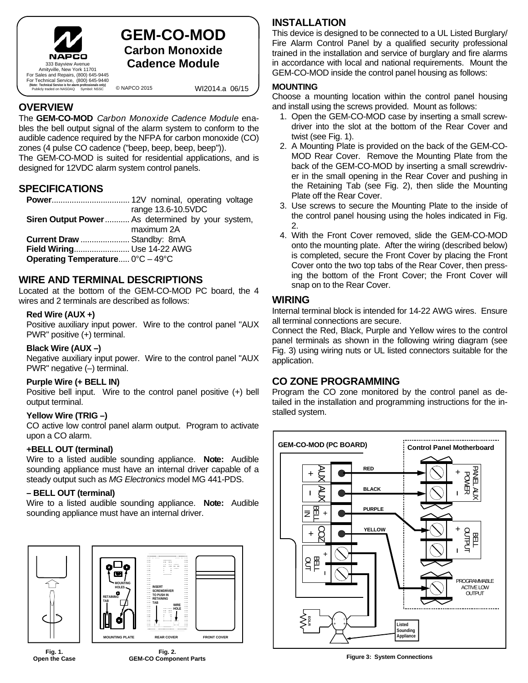

## **GEM-CO-MOD Carbon Monoxide 333 Bayview Avenue Cadence Module**

**(Note: Technical Service is for alarm professionals only)** Publicly traded on NASDAQ Symbol: NSSC

© NAPCO 2015 WI2014.a 06/15

## **OVERVIEW**

The **GEM-CO-MOD** *Carbon Monoxide Cadence Module* enables the bell output signal of the alarm system to conform to the audible cadence required by the NFPA for carbon monoxide (CO) zones (4 pulse CO cadence ("beep, beep, beep, beep")).

The GEM-CO-MOD is suited for residential applications, and is designed for 12VDC alarm system control panels.

## **SPECIFICATIONS**

|                                                       | range 13.6-10.5VDC                               |
|-------------------------------------------------------|--------------------------------------------------|
|                                                       | Siren Output Power As determined by your system, |
|                                                       | maximum 2A                                       |
| <b>Current Draw  Standby: 8mA</b>                     |                                                  |
| Field Wiring Use 14-22 AWG                            |                                                  |
| Operating Temperature $0^{\circ}$ C – 49 $^{\circ}$ C |                                                  |

## **WIRE AND TERMINAL DESCRIPTIONS**

Located at the bottom of the GEM-CO-MOD PC board, the 4 wires and 2 terminals are described as follows:

#### **Red Wire (AUX +)**

Positive auxiliary input power. Wire to the control panel "AUX PWR" positive (+) terminal.

#### **Black Wire (AUX –)**

Negative auxiliary input power. Wire to the control panel "AUX PWR" negative (–) terminal.

#### **Purple Wire (+ BELL IN)**

Positive bell input. Wire to the control panel positive (+) bell output terminal.

#### **Yellow Wire (TRIG –)**

CO active low control panel alarm output. Program to activate upon a CO alarm.

#### **+BELL OUT (terminal)**

Wire to a listed audible sounding appliance. **Note:** Audible sounding appliance must have an internal driver capable of a steady output such as *MG Electronics* model MG 441-PDS.

#### **– BELL OUT (terminal)**

Wire to a listed audible sounding appliance. **Note:** Audible sounding appliance must have an internal driver.



**Fig. 1. Open the Case** 



#### **INSTALLATION**

This device is designed to be connected to a UL Listed Burglary/ Fire Alarm Control Panel by a qualified security professional trained in the installation and service of burglary and fire alarms in accordance with local and national requirements. Mount the GEM-CO-MOD inside the control panel housing as follows:

#### **MOUNTING**

Choose a mounting location within the control panel housing and install using the screws provided. Mount as follows:

- 1. Open the GEM-CO-MOD case by inserting a small screwdriver into the slot at the bottom of the Rear Cover and twist (see Fig. 1).
- 2. A Mounting Plate is provided on the back of the GEM-CO-MOD Rear Cover. Remove the Mounting Plate from the back of the GEM-CO-MOD by inserting a small screwdriver in the small opening in the Rear Cover and pushing in the Retaining Tab (see Fig. 2), then slide the Mounting Plate off the Rear Cover.
- 3. Use screws to secure the Mounting Plate to the inside of the control panel housing using the holes indicated in Fig. 2.
- 4. With the Front Cover removed, slide the GEM-CO-MOD onto the mounting plate. After the wiring (described below) is completed, secure the Front Cover by placing the Front Cover onto the two top tabs of the Rear Cover, then pressing the bottom of the Front Cover; the Front Cover will snap on to the Rear Cover.

#### **WIRING**

Internal terminal block is intended for 14-22 AWG wires. Ensure all terminal connections are secure.

Connect the Red, Black, Purple and Yellow wires to the control panel terminals as shown in the following wiring diagram (see Fig. 3) using wiring nuts or UL listed connectors suitable for the application.

### **CO ZONE PROGRAMMING**

Program the CO zone monitored by the control panel as detailed in the installation and programming instructions for the installed system.



**Figure 3: System Connections**